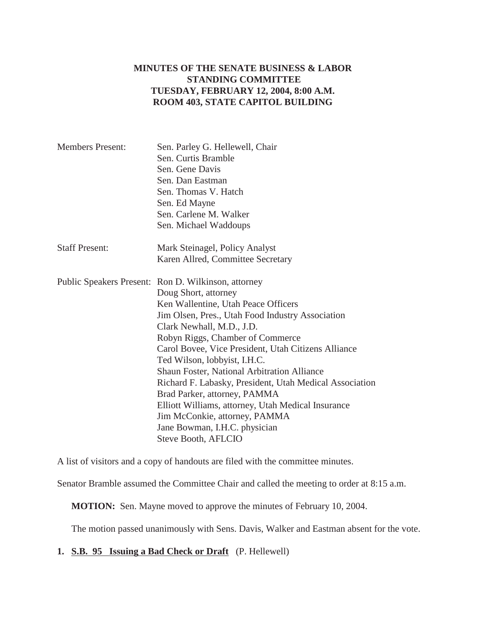## **MINUTES OF THE SENATE BUSINESS & LABOR STANDING COMMITTEE TUESDAY, FEBRUARY 12, 2004, 8:00 A.M. ROOM 403, STATE CAPITOL BUILDING**

| <b>Members Present:</b> | Sen. Parley G. Hellewell, Chair<br>Sen. Curtis Bramble<br>Sen. Gene Davis<br>Sen. Dan Eastman<br>Sen. Thomas V. Hatch<br>Sen. Ed Mayne                                                                                                                                                                                                                                                                                                                                                                                                                                                                                         |
|-------------------------|--------------------------------------------------------------------------------------------------------------------------------------------------------------------------------------------------------------------------------------------------------------------------------------------------------------------------------------------------------------------------------------------------------------------------------------------------------------------------------------------------------------------------------------------------------------------------------------------------------------------------------|
|                         | Sen. Carlene M. Walker<br>Sen. Michael Waddoups                                                                                                                                                                                                                                                                                                                                                                                                                                                                                                                                                                                |
| <b>Staff Present:</b>   | Mark Steinagel, Policy Analyst<br>Karen Allred, Committee Secretary                                                                                                                                                                                                                                                                                                                                                                                                                                                                                                                                                            |
|                         | Public Speakers Present: Ron D. Wilkinson, attorney<br>Doug Short, attorney<br>Ken Wallentine, Utah Peace Officers<br>Jim Olsen, Pres., Utah Food Industry Association<br>Clark Newhall, M.D., J.D.<br>Robyn Riggs, Chamber of Commerce<br>Carol Bovee, Vice President, Utah Citizens Alliance<br>Ted Wilson, lobbyist, I.H.C.<br><b>Shaun Foster, National Arbitration Alliance</b><br>Richard F. Labasky, President, Utah Medical Association<br>Brad Parker, attorney, PAMMA<br>Elliott Williams, attorney, Utah Medical Insurance<br>Jim McConkie, attorney, PAMMA<br>Jane Bowman, I.H.C. physician<br>Steve Booth, AFLCIO |

A list of visitors and a copy of handouts are filed with the committee minutes.

Senator Bramble assumed the Committee Chair and called the meeting to order at 8:15 a.m.

**MOTION:** Sen. Mayne moved to approve the minutes of February 10, 2004.

The motion passed unanimously with Sens. Davis, Walker and Eastman absent for the vote.

**1. S.B. 95 Issuing a Bad Check or Draft** (P. Hellewell)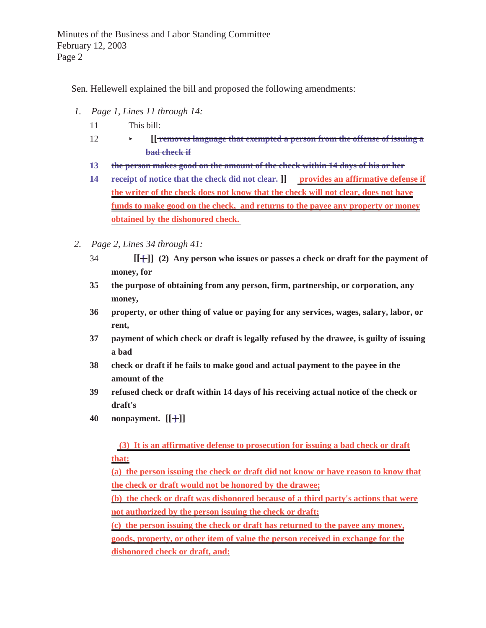Minutes of the Business and Labor Standing Committee February 12, 2003 Page 2

Sen. Hellewell explained the bill and proposed the following amendments:

- *1. Page 1, Lines 11 through 14:*
	- 11 This bill:
	- 12 < **[[ removes language that exempted a person from the offense of issuing a bad check if**
	- **13 the person makes good on the amount of the check within 14 days of his or her**
	- **14** receipt of notice that the check did not clear. ]] provides an affirmative defense if **the writer of the check does not know that the check will not clear, does not have funds to make good on the check, and returns to the payee any property or money obtained by the dishonored check.**
- *2. Page 2, Lines 34 through 41:*
	- 34 **[[ [ ]] (2) Any person who issues or passes a check or draft for the payment of money, for**
	- **35 the purpose of obtaining from any person, firm, partnership, or corporation, any money,**
	- **36 property, or other thing of value or paying for any services, wages, salary, labor, or rent,**
	- **37 payment of which check or draft is legally refused by the drawee, is guilty of issuing a bad**
	- **38 check or draft if he fails to make good and actual payment to the payee in the amount of the**
	- **39 refused check or draft within 14 days of his receiving actual notice of the check or draft's**
	- **40 nonpayment. [[ ]] ]**

 **(3) It is an affirmative defense to prosecution for issuing a bad check or draft that:**

**(a) the person issuing the check or draft did not know or have reason to know that the check or draft would not be honored by the drawee;**

**(b) the check or draft was dishonored because of a third party's actions that were not authorized by the person issuing the check or draft;**

**(c) the person issuing the check or draft has returned to the payee any money, goods, property, or other item of value the person received in exchange for the dishonored check or draft, and:**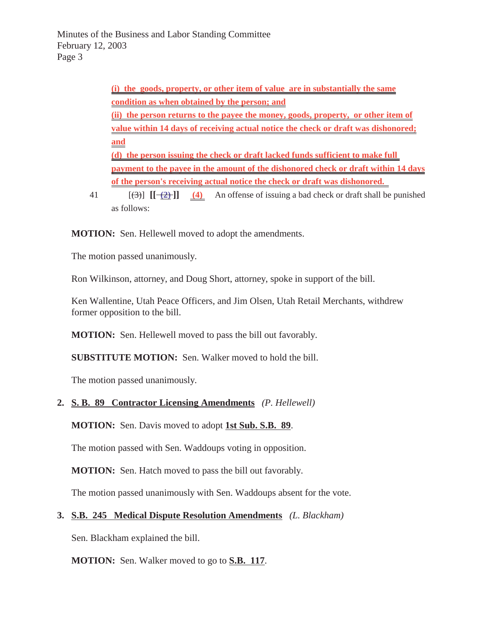Minutes of the Business and Labor Standing Committee February 12, 2003 Page 3

> **(i) the goods, property, or other item of value are in substantially the same condition as when obtained by the person; and (ii) the person returns to the payee the money, goods, property, or other item of value within 14 days of receiving actual notice the check or draft was dishonored; and (d) the person issuing the check or draft lacked funds sufficient to make full payment to the payee in the amount of the dishonored check or draft within 14 days of the person's receiving actual notice the check or draft was dishonored.**

41  $[(3)]$   $[(-2)]$   $(4)$  An offense of issuing a bad check or draft shall be punished as follows:

**MOTION:** Sen. Hellewell moved to adopt the amendments.

The motion passed unanimously.

Ron Wilkinson, attorney, and Doug Short, attorney, spoke in support of the bill.

Ken Wallentine, Utah Peace Officers, and Jim Olsen, Utah Retail Merchants, withdrew former opposition to the bill.

**MOTION:** Sen. Hellewell moved to pass the bill out favorably.

**SUBSTITUTE MOTION:** Sen. Walker moved to hold the bill.

The motion passed unanimously.

## **2. S. B. 89 Contractor Licensing Amendments** *(P. Hellewell)*

**MOTION:** Sen. Davis moved to adopt **1st Sub. S.B. 89**.

The motion passed with Sen. Waddoups voting in opposition.

**MOTION:** Sen. Hatch moved to pass the bill out favorably.

The motion passed unanimously with Sen. Waddoups absent for the vote.

## **3. S.B. 245 Medical Dispute Resolution Amendments** *(L. Blackham)*

Sen. Blackham explained the bill.

**MOTION:** Sen. Walker moved to go to **S.B. 117**.